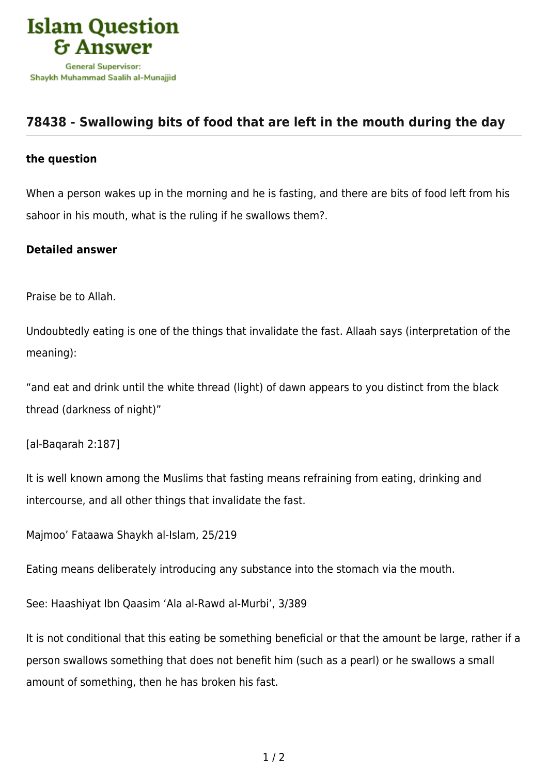

## **[78438 - Swallowing bits of food that are left in the mouth during the day](https://islamqa.com/en/answers/78438/swallowing-bits-of-food-that-are-left-in-the-mouth-during-the-day)**

## **the question**

When a person wakes up in the morning and he is fasting, and there are bits of food left from his sahoor in his mouth, what is the ruling if he swallows them?.

## **Detailed answer**

Praise be to Allah.

Undoubtedly eating is one of the things that invalidate the fast. Allaah says (interpretation of the meaning):

"and eat and drink until the white thread (light) of dawn appears to you distinct from the black thread (darkness of night)"

[al-Baqarah 2:187]

It is well known among the Muslims that fasting means refraining from eating, drinking and intercourse, and all other things that invalidate the fast.

Majmoo' Fataawa Shaykh al-Islam, 25/219

Eating means deliberately introducing any substance into the stomach via the mouth.

See: Haashiyat Ibn Qaasim 'Ala al-Rawd al-Murbi', 3/389

It is not conditional that this eating be something beneficial or that the amount be large, rather if a person swallows something that does not benefit him (such as a pearl) or he swallows a small amount of something, then he has broken his fast.